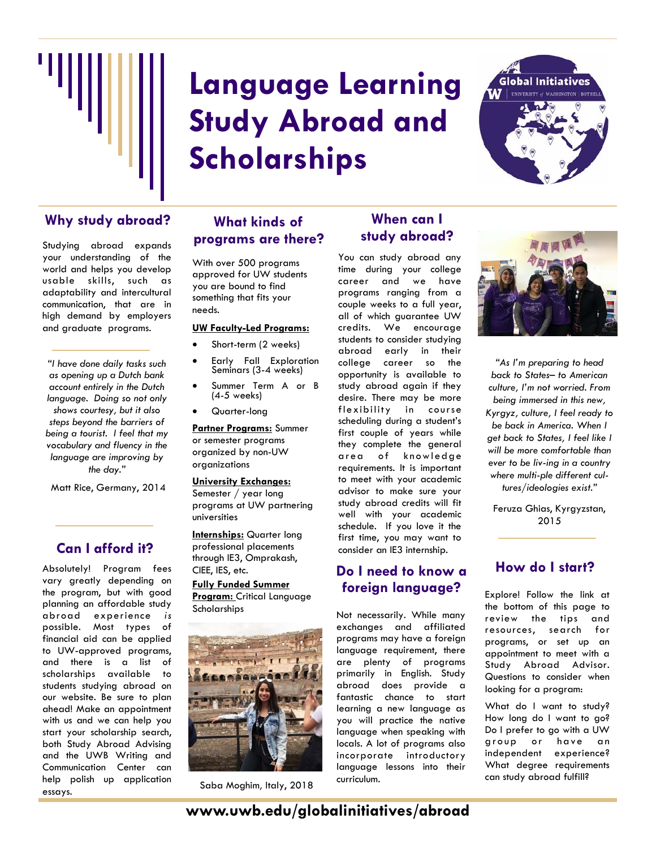

# **Language Learning Study Abroad and Scholarships**



## Why study abroad? What kinds of **When can I**

Studying abroad expands your understanding of the world and helps you develop usable skills, such as adaptability and intercultural communication, that are in high demand by employers and graduate programs.

*"I have done daily tasks such as opening up a Dutch bank account entirely in the Dutch language. Doing so not only shows courtesy, but it also steps beyond the barriers of being a tourist. I feel that my vocabulary and fluency in the language are improving by the day."* 

Matt Rice, Germany, 2014

## **Can I afford it?**

Absolutely! Program fees vary greatly depending on the program, but with good planning an affordable study abroad experience *is* possible. Most types of financial aid can be applied to UW-approved programs, and there is a list of scholarships available to students studying abroad on our website. Be sure to plan ahead! Make an appointment with us and we can help you start your scholarship search, both Study Abroad Advising and the UWB Writing and Communication Center can help polish up application essays.

## **What kinds of programs are there?**

With over 500 programs approved for UW students you are bound to find something that fits your needs.

#### **UW Faculty-Led Programs:**

- Short-term (2 weeks)
- Early Fall Exploration Seminars (3-4 weeks)
- Summer Term A or B (4-5 weeks)
- Quarter-long

**Partner Programs:** Summer or semester programs organized by non-UW organizations

#### **University Exchanges:**

Semester / year long programs at UW partnering universities

**Internships:** Quarter long professional placements through IE3, Omprakash, CIEE, IES, etc.

**Fully Funded Summer Program:** Critical Language **Scholarships** 



Saba Moghim*,* Italy, 2018

## **study abroad?**

You can study abroad any time during your college career and we have programs ranging from a couple weeks to a full year, all of which guarantee UW credits. We encourage students to consider studying abroad early in their college career so the opportunity is available to study abroad again if they desire. There may be more flexibility in course scheduling during a student's first couple of years while they complete the general area of knowledge requirements. It is important to meet with your academic advisor to make sure your study abroad credits will fit well with your academic schedule. If you love it the first time, you may want to consider an IE3 internship.

## **Do I need to know a foreign language?**

Not necessarily. While many exchanges and affiliated programs may have a foreign language requirement, there are plenty of programs primarily in English. Study abroad does provide a fantastic chance to start learning a new language as you will practice the native language when speaking with locals. A lot of programs also incorporate introductory language lessons into their curriculum.



*"As I'm preparing to head back to States– to American culture, I'm not worried. From being immersed in this new, Kyrgyz, culture, I feel ready to be back in America. When I get back to States, I feel like I will be more comfortable than ever to be living in a country*  where multi-ple different cul*tures/ideologies exist."* 

Feruza Ghias, Kyrgyzstan, 2015

## **How do I start?**

Explore! Follow the link at the bottom of this page to review the tips and resources, search for programs, or set up an appointment to meet with a Study Abroad Advisor. Questions to consider when looking for a program:

What do I want to study? How long do I want to go? Do I prefer to go with a UW group or have an independent experience? What degree requirements can study abroad fulfill?

**www.uwb.edu/globalinitiatives/abroad**